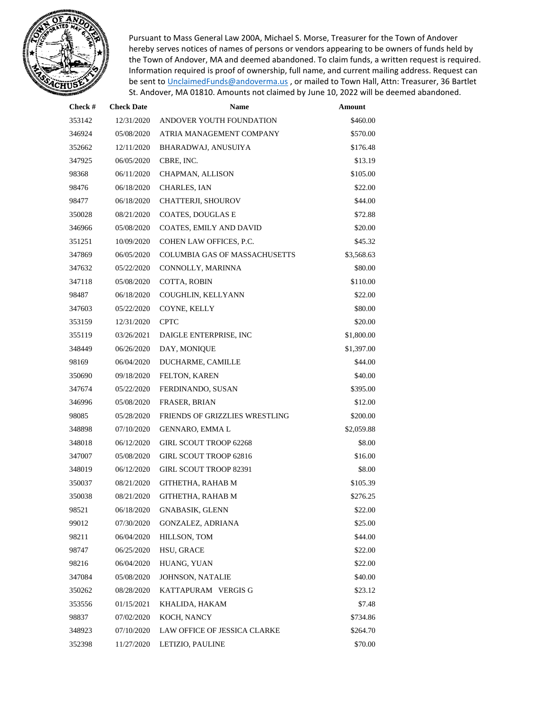

Pursuant to Mass General Law 200A, Michael S. Morse, Treasurer for the Town of Andover hereby serves notices of names of persons or vendors appearing to be owners of funds held by the Town of Andover, MA and deemed abandoned. To claim funds, a written request is required. Information required is proof of ownership, full name, and current mailing address. Request can be sent to [UnclaimedFunds@andoverma.us](mailto:UnclaimedFunds@andoverma.us), or mailed to Town Hall, Attn: Treasurer, 36 Bartlet St. Andover, MA 01810. Amounts not claimed by June 10, 2022 will be deemed abandoned.

| Check # | <b>Check Date</b> | <b>Name</b>                          | Amount     |
|---------|-------------------|--------------------------------------|------------|
| 353142  | 12/31/2020        | ANDOVER YOUTH FOUNDATION             | \$460.00   |
| 346924  | 05/08/2020        | ATRIA MANAGEMENT COMPANY             | \$570.00   |
| 352662  | 12/11/2020        | BHARADWAJ, ANUSUIYA                  | \$176.48   |
| 347925  | 06/05/2020        | CBRE, INC.                           | \$13.19    |
| 98368   | 06/11/2020        | CHAPMAN, ALLISON                     | \$105.00   |
| 98476   | 06/18/2020        | CHARLES, IAN                         | \$22.00    |
| 98477   | 06/18/2020        | CHATTERJI, SHOUROV                   | \$44.00    |
| 350028  | 08/21/2020        | COATES, DOUGLAS E                    | \$72.88    |
| 346966  | 05/08/2020        | COATES, EMILY AND DAVID              | \$20.00    |
| 351251  | 10/09/2020        | COHEN LAW OFFICES, P.C.              | \$45.32    |
| 347869  | 06/05/2020        | <b>COLUMBIA GAS OF MASSACHUSETTS</b> | \$3,568.63 |
| 347632  | 05/22/2020        | CONNOLLY, MARINNA                    | \$80.00    |
| 347118  | 05/08/2020        | COTTA, ROBIN                         | \$110.00   |
| 98487   | 06/18/2020        | COUGHLIN, KELLYANN                   | \$22.00    |
| 347603  | 05/22/2020        | COYNE, KELLY                         | \$80.00    |
| 353159  | 12/31/2020        | <b>CPTC</b>                          | \$20.00    |
| 355119  | 03/26/2021        | DAIGLE ENTERPRISE, INC               | \$1,800.00 |
| 348449  | 06/26/2020        | DAY, MONIQUE                         | \$1,397.00 |
| 98169   | 06/04/2020        | DUCHARME, CAMILLE                    | \$44.00    |
| 350690  | 09/18/2020        | FELTON, KAREN                        | \$40.00    |
| 347674  | 05/22/2020        | FERDINANDO, SUSAN                    | \$395.00   |
| 346996  | 05/08/2020        | FRASER, BRIAN                        | \$12.00    |
| 98085   | 05/28/2020        | FRIENDS OF GRIZZLIES WRESTLING       | \$200.00   |
| 348898  | 07/10/2020        | GENNARO, EMMA L                      | \$2,059.88 |
| 348018  | 06/12/2020        | <b>GIRL SCOUT TROOP 62268</b>        | \$8.00     |
| 347007  | 05/08/2020        | <b>GIRL SCOUT TROOP 62816</b>        | \$16.00    |
| 348019  | 06/12/2020        | <b>GIRL SCOUT TROOP 82391</b>        | \$8.00     |
| 350037  | 08/21/2020        | GITHETHA, RAHAB M                    | \$105.39   |
| 350038  | 08/21/2020        | GITHETHA, RAHAB M                    | \$276.25   |
| 98521   | 06/18/2020        | GNABASIK, GLENN                      | \$22.00    |
| 99012   | 07/30/2020        | GONZALEZ, ADRIANA                    | \$25.00    |
| 98211   | 06/04/2020        | HILLSON, TOM                         | \$44.00    |
| 98747   | 06/25/2020        | HSU, GRACE                           | \$22.00    |
| 98216   | 06/04/2020        | HUANG, YUAN                          | \$22.00    |
| 347084  | 05/08/2020        | JOHNSON, NATALIE                     | \$40.00    |
| 350262  | 08/28/2020        | KATTAPURAM VERGIS G                  | \$23.12    |
| 353556  | 01/15/2021        | KHALIDA, HAKAM                       | \$7.48     |
| 98837   | 07/02/2020        | KOCH, NANCY                          | \$734.86   |
| 348923  | 07/10/2020        | LAW OFFICE OF JESSICA CLARKE         | \$264.70   |
| 352398  | 11/27/2020        | LETIZIO, PAULINE                     | \$70.00    |